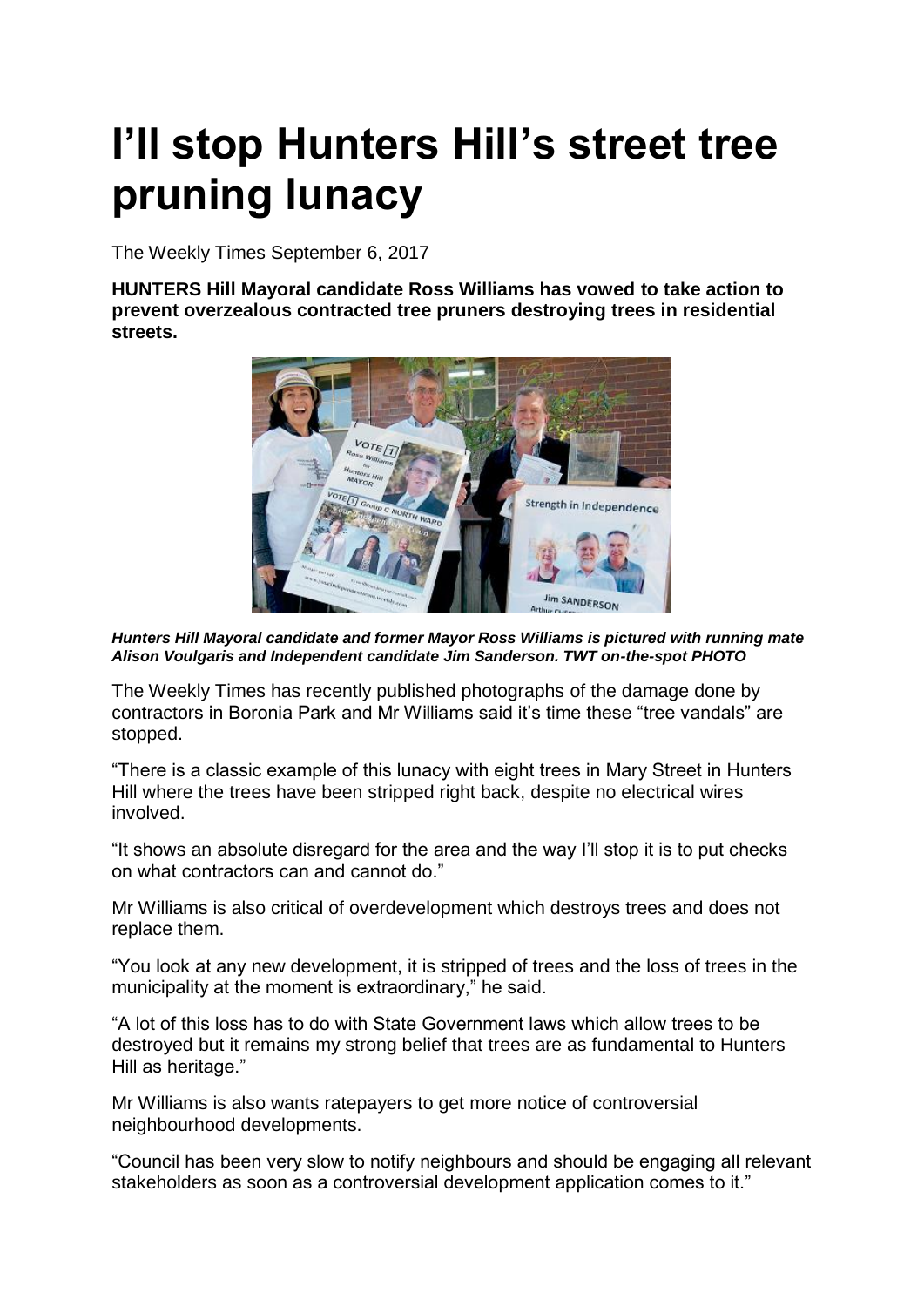## **I'll stop Hunters Hill's street tree pruning lunacy**

The Weekly Times September 6, 2017

**HUNTERS Hill Mayoral candidate Ross Williams has vowed to take action to prevent overzealous contracted tree pruners destroying trees in residential streets.**



*Hunters Hill Mayoral candidate and former Mayor Ross Williams is pictured with running mate Alison Voulgaris and Independent candidate Jim Sanderson. TWT on-the-spot PHOTO*

The Weekly Times has recently published photographs of the damage done by contractors in Boronia Park and Mr Williams said it's time these "tree vandals" are stopped.

"There is a classic example of this lunacy with eight trees in Mary Street in Hunters Hill where the trees have been stripped right back, despite no electrical wires involved.

"It shows an absolute disregard for the area and the way I'll stop it is to put checks on what contractors can and cannot do."

Mr Williams is also critical of overdevelopment which destroys trees and does not replace them.

"You look at any new development, it is stripped of trees and the loss of trees in the municipality at the moment is extraordinary," he said.

"A lot of this loss has to do with State Government laws which allow trees to be destroyed but it remains my strong belief that trees are as fundamental to Hunters Hill as heritage."

Mr Williams is also wants ratepayers to get more notice of controversial neighbourhood developments.

"Council has been very slow to notify neighbours and should be engaging all relevant stakeholders as soon as a controversial development application comes to it."